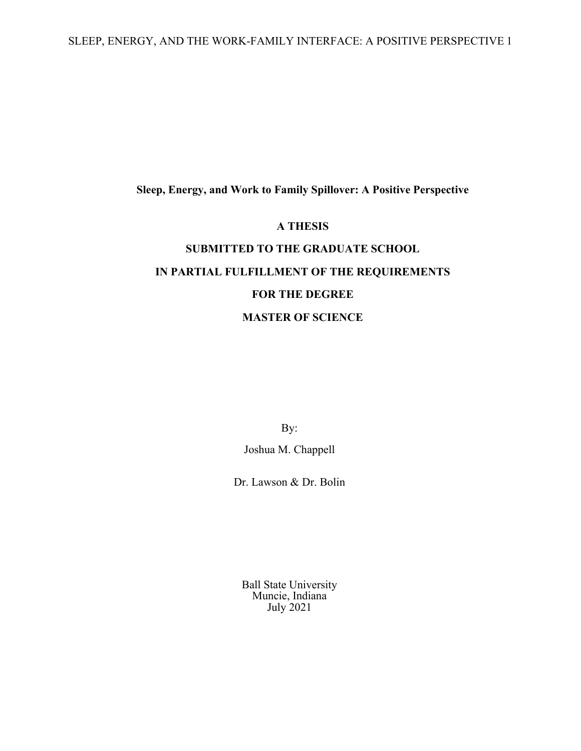SLEEP, ENERGY, AND THE WORK-FAMILY INTERFACE: A POSITIVE PERSPECTIVE 1

### **Sleep, Energy, and Work to Family Spillover: A Positive Perspective**

#### **A THESIS**

# **SUBMITTED TO THE GRADUATE SCHOOL IN PARTIAL FULFILLMENT OF THE REQUIREMENTS FOR THE DEGREE MASTER OF SCIENCE**

By:

Joshua M. Chappell

Dr. Lawson & Dr. Bolin

Ball State University Muncie, Indiana July 2021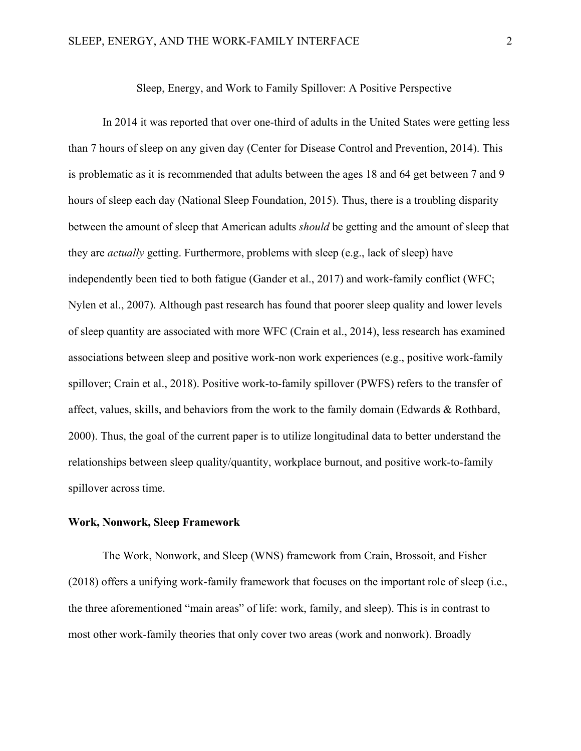In 2014 it was reported that over one-third of adults in the United States were getting less than 7 hours of sleep on any given day (Center for Disease Control and Prevention, 2014). This is problematic as it is recommended that adults between the ages 18 and 64 get between 7 and 9 hours of sleep each day (National Sleep Foundation, 2015). Thus, there is a troubling disparity between the amount of sleep that American adults *should* be getting and the amount of sleep that they are *actually* getting. Furthermore, problems with sleep (e.g., lack of sleep) have independently been tied to both fatigue (Gander et al., 2017) and work-family conflict (WFC; Nylen et al., 2007). Although past research has found that poorer sleep quality and lower levels of sleep quantity are associated with more WFC (Crain et al., 2014), less research has examined associations between sleep and positive work-non work experiences (e.g., positive work-family spillover; Crain et al., 2018). Positive work-to-family spillover (PWFS) refers to the transfer of affect, values, skills, and behaviors from the work to the family domain (Edwards & Rothbard, 2000). Thus, the goal of the current paper is to utilize longitudinal data to better understand the relationships between sleep quality/quantity, workplace burnout, and positive work-to-family spillover across time.

#### **Work, Nonwork, Sleep Framework**

The Work, Nonwork, and Sleep (WNS) framework from Crain, Brossoit, and Fisher (2018) offers a unifying work-family framework that focuses on the important role of sleep (i.e., the three aforementioned "main areas" of life: work, family, and sleep). This is in contrast to most other work-family theories that only cover two areas (work and nonwork). Broadly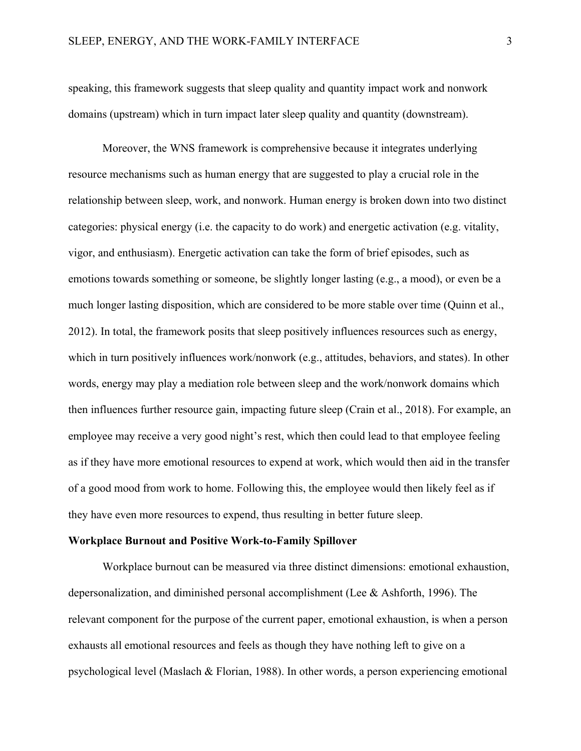speaking, this framework suggests that sleep quality and quantity impact work and nonwork domains (upstream) which in turn impact later sleep quality and quantity (downstream).

Moreover, the WNS framework is comprehensive because it integrates underlying resource mechanisms such as human energy that are suggested to play a crucial role in the relationship between sleep, work, and nonwork. Human energy is broken down into two distinct categories: physical energy (i.e. the capacity to do work) and energetic activation (e.g. vitality, vigor, and enthusiasm). Energetic activation can take the form of brief episodes, such as emotions towards something or someone, be slightly longer lasting (e.g., a mood), or even be a much longer lasting disposition, which are considered to be more stable over time (Quinn et al., 2012). In total, the framework posits that sleep positively influences resources such as energy, which in turn positively influences work/nonwork (e.g., attitudes, behaviors, and states). In other words, energy may play a mediation role between sleep and the work/nonwork domains which then influences further resource gain, impacting future sleep (Crain et al., 2018). For example, an employee may receive a very good night's rest, which then could lead to that employee feeling as if they have more emotional resources to expend at work, which would then aid in the transfer of a good mood from work to home. Following this, the employee would then likely feel as if they have even more resources to expend, thus resulting in better future sleep.

#### **Workplace Burnout and Positive Work-to-Family Spillover**

Workplace burnout can be measured via three distinct dimensions: emotional exhaustion, depersonalization, and diminished personal accomplishment (Lee & Ashforth, 1996). The relevant component for the purpose of the current paper, emotional exhaustion, is when a person exhausts all emotional resources and feels as though they have nothing left to give on a psychological level (Maslach & Florian, 1988). In other words, a person experiencing emotional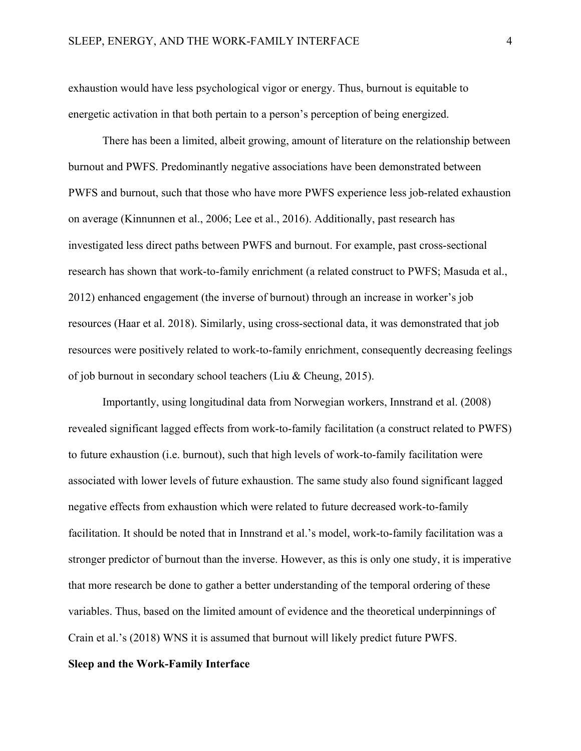exhaustion would have less psychological vigor or energy. Thus, burnout is equitable to energetic activation in that both pertain to a person's perception of being energized.

There has been a limited, albeit growing, amount of literature on the relationship between burnout and PWFS. Predominantly negative associations have been demonstrated between PWFS and burnout, such that those who have more PWFS experience less job-related exhaustion on average (Kinnunnen et al., 2006; Lee et al., 2016). Additionally, past research has investigated less direct paths between PWFS and burnout. For example, past cross-sectional research has shown that work-to-family enrichment (a related construct to PWFS; Masuda et al., 2012) enhanced engagement (the inverse of burnout) through an increase in worker's job resources (Haar et al. 2018). Similarly, using cross-sectional data, it was demonstrated that job resources were positively related to work-to-family enrichment, consequently decreasing feelings of job burnout in secondary school teachers (Liu & Cheung, 2015).

Importantly, using longitudinal data from Norwegian workers, Innstrand et al. (2008) revealed significant lagged effects from work-to-family facilitation (a construct related to PWFS) to future exhaustion (i.e. burnout), such that high levels of work-to-family facilitation were associated with lower levels of future exhaustion. The same study also found significant lagged negative effects from exhaustion which were related to future decreased work-to-family facilitation. It should be noted that in Innstrand et al.'s model, work-to-family facilitation was a stronger predictor of burnout than the inverse. However, as this is only one study, it is imperative that more research be done to gather a better understanding of the temporal ordering of these variables. Thus, based on the limited amount of evidence and the theoretical underpinnings of Crain et al.'s (2018) WNS it is assumed that burnout will likely predict future PWFS.

#### **Sleep and the Work-Family Interface**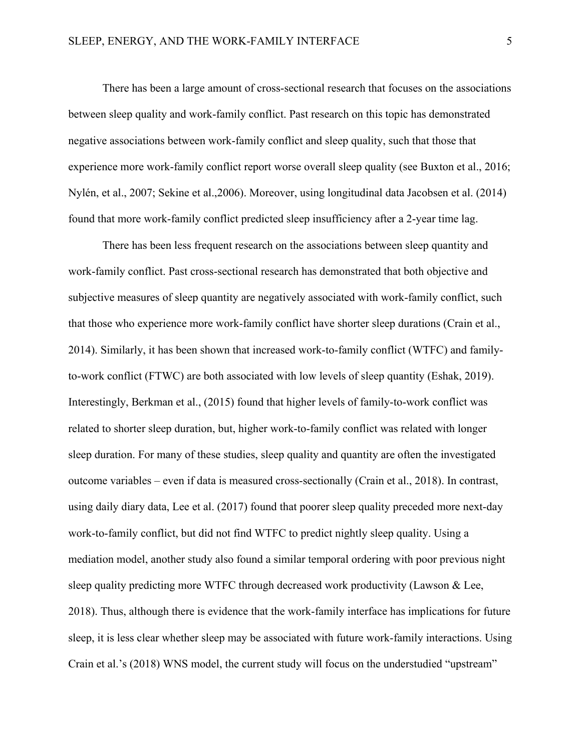There has been a large amount of cross-sectional research that focuses on the associations between sleep quality and work-family conflict. Past research on this topic has demonstrated negative associations between work-family conflict and sleep quality, such that those that experience more work-family conflict report worse overall sleep quality (see Buxton et al., 2016; Nylén, et al., 2007; Sekine et al.,2006). Moreover, using longitudinal data Jacobsen et al. (2014) found that more work-family conflict predicted sleep insufficiency after a 2-year time lag.

There has been less frequent research on the associations between sleep quantity and work-family conflict. Past cross-sectional research has demonstrated that both objective and subjective measures of sleep quantity are negatively associated with work-family conflict, such that those who experience more work-family conflict have shorter sleep durations (Crain et al., 2014). Similarly, it has been shown that increased work-to-family conflict (WTFC) and familyto-work conflict (FTWC) are both associated with low levels of sleep quantity (Eshak, 2019). Interestingly, Berkman et al., (2015) found that higher levels of family-to-work conflict was related to shorter sleep duration, but, higher work-to-family conflict was related with longer sleep duration. For many of these studies, sleep quality and quantity are often the investigated outcome variables – even if data is measured cross-sectionally (Crain et al., 2018). In contrast, using daily diary data, Lee et al. (2017) found that poorer sleep quality preceded more next-day work-to-family conflict, but did not find WTFC to predict nightly sleep quality. Using a mediation model, another study also found a similar temporal ordering with poor previous night sleep quality predicting more WTFC through decreased work productivity (Lawson & Lee, 2018). Thus, although there is evidence that the work-family interface has implications for future sleep, it is less clear whether sleep may be associated with future work-family interactions. Using Crain et al.'s (2018) WNS model, the current study will focus on the understudied "upstream"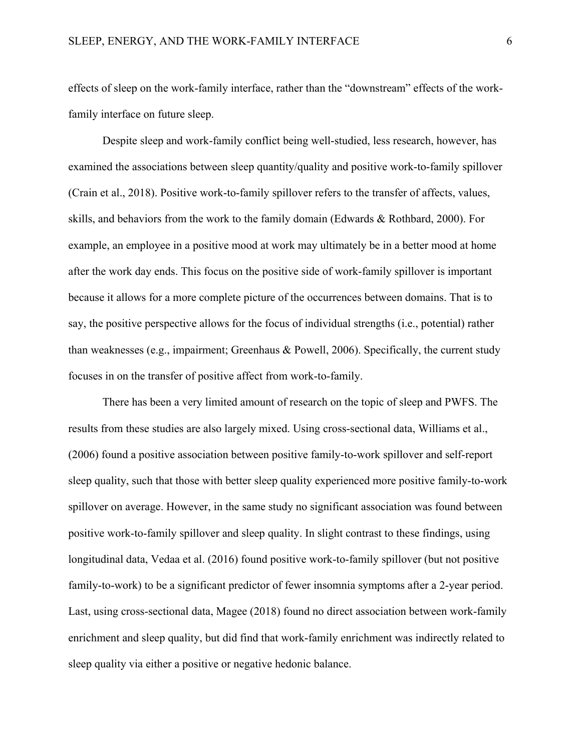effects of sleep on the work-family interface, rather than the "downstream" effects of the workfamily interface on future sleep.

Despite sleep and work-family conflict being well-studied, less research, however, has examined the associations between sleep quantity/quality and positive work-to-family spillover (Crain et al., 2018). Positive work-to-family spillover refers to the transfer of affects, values, skills, and behaviors from the work to the family domain (Edwards & Rothbard, 2000). For example, an employee in a positive mood at work may ultimately be in a better mood at home after the work day ends. This focus on the positive side of work-family spillover is important because it allows for a more complete picture of the occurrences between domains. That is to say, the positive perspective allows for the focus of individual strengths (i.e., potential) rather than weaknesses (e.g., impairment; Greenhaus & Powell, 2006). Specifically, the current study focuses in on the transfer of positive affect from work-to-family.

There has been a very limited amount of research on the topic of sleep and PWFS. The results from these studies are also largely mixed. Using cross-sectional data, Williams et al., (2006) found a positive association between positive family-to-work spillover and self-report sleep quality, such that those with better sleep quality experienced more positive family-to-work spillover on average. However, in the same study no significant association was found between positive work-to-family spillover and sleep quality. In slight contrast to these findings, using longitudinal data, Vedaa et al. (2016) found positive work-to-family spillover (but not positive family-to-work) to be a significant predictor of fewer insomnia symptoms after a 2-year period. Last, using cross-sectional data, Magee (2018) found no direct association between work-family enrichment and sleep quality, but did find that work-family enrichment was indirectly related to sleep quality via either a positive or negative hedonic balance.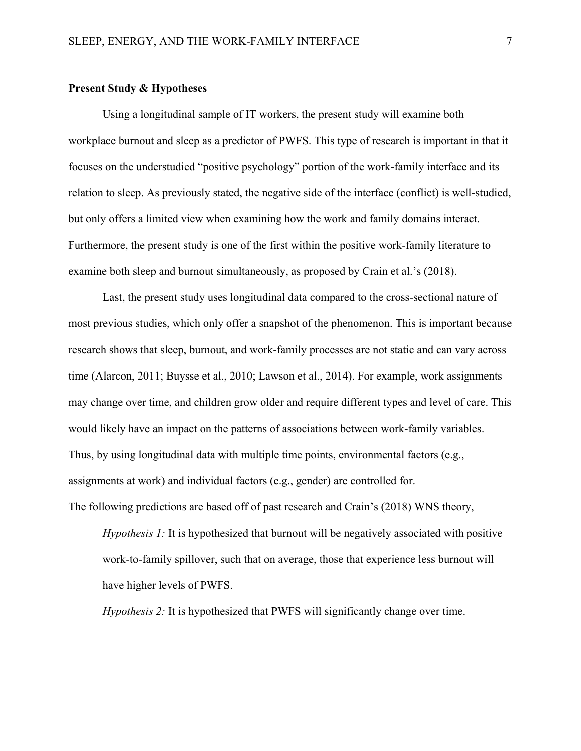#### **Present Study & Hypotheses**

Using a longitudinal sample of IT workers, the present study will examine both workplace burnout and sleep as a predictor of PWFS. This type of research is important in that it focuses on the understudied "positive psychology" portion of the work-family interface and its relation to sleep. As previously stated, the negative side of the interface (conflict) is well-studied, but only offers a limited view when examining how the work and family domains interact. Furthermore, the present study is one of the first within the positive work-family literature to examine both sleep and burnout simultaneously, as proposed by Crain et al.'s (2018).

Last, the present study uses longitudinal data compared to the cross-sectional nature of most previous studies, which only offer a snapshot of the phenomenon. This is important because research shows that sleep, burnout, and work-family processes are not static and can vary across time (Alarcon, 2011; Buysse et al., 2010; Lawson et al., 2014). For example, work assignments may change over time, and children grow older and require different types and level of care. This would likely have an impact on the patterns of associations between work-family variables. Thus, by using longitudinal data with multiple time points, environmental factors (e.g., assignments at work) and individual factors (e.g., gender) are controlled for.

The following predictions are based off of past research and Crain's (2018) WNS theory,

*Hypothesis 1:* It is hypothesized that burnout will be negatively associated with positive work-to-family spillover, such that on average, those that experience less burnout will have higher levels of PWFS.

*Hypothesis 2:* It is hypothesized that PWFS will significantly change over time.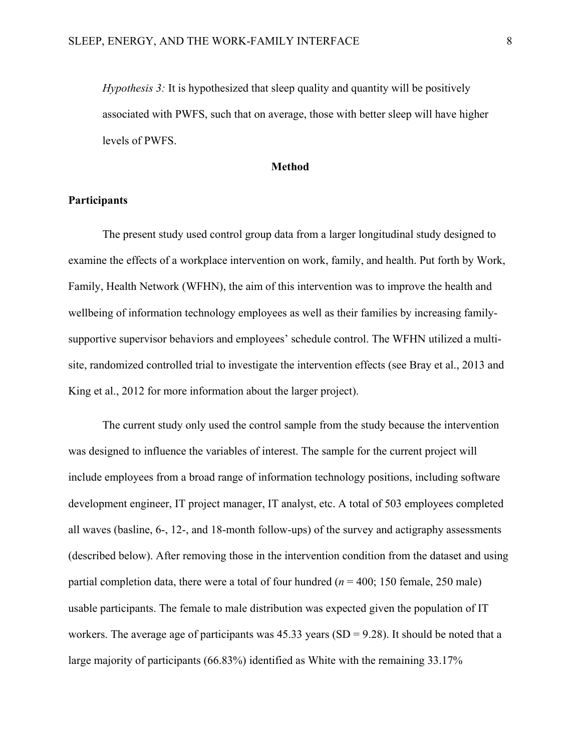*Hypothesis 3:* It is hypothesized that sleep quality and quantity will be positively associated with PWFS, such that on average, those with better sleep will have higher levels of PWFS.

#### **Method**

#### **Participants**

The present study used control group data from a larger longitudinal study designed to examine the effects of a workplace intervention on work, family, and health. Put forth by Work, Family, Health Network (WFHN), the aim of this intervention was to improve the health and wellbeing of information technology employees as well as their families by increasing familysupportive supervisor behaviors and employees' schedule control. The WFHN utilized a multisite, randomized controlled trial to investigate the intervention effects (see Bray et al., 2013 and King et al., 2012 for more information about the larger project).

The current study only used the control sample from the study because the intervention was designed to influence the variables of interest. The sample for the current project will include employees from a broad range of information technology positions, including software development engineer, IT project manager, IT analyst, etc. A total of 503 employees completed all waves (basline, 6-, 12-, and 18-month follow-ups) of the survey and actigraphy assessments (described below). After removing those in the intervention condition from the dataset and using partial completion data, there were a total of four hundred (*n* = 400; 150 female, 250 male) usable participants. The female to male distribution was expected given the population of IT workers. The average age of participants was  $45.33$  years (SD = 9.28). It should be noted that a large majority of participants (66.83%) identified as White with the remaining 33.17%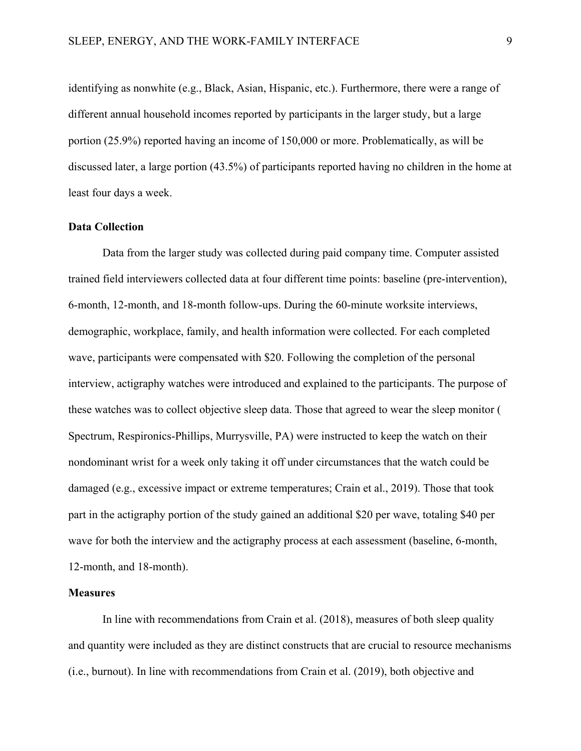identifying as nonwhite (e.g., Black, Asian, Hispanic, etc.). Furthermore, there were a range of different annual household incomes reported by participants in the larger study, but a large portion (25.9%) reported having an income of 150,000 or more. Problematically, as will be discussed later, a large portion (43.5%) of participants reported having no children in the home at least four days a week.

#### **Data Collection**

Data from the larger study was collected during paid company time. Computer assisted trained field interviewers collected data at four different time points: baseline (pre-intervention), 6-month, 12-month, and 18-month follow-ups. During the 60-minute worksite interviews, demographic, workplace, family, and health information were collected. For each completed wave, participants were compensated with \$20. Following the completion of the personal interview, actigraphy watches were introduced and explained to the participants. The purpose of these watches was to collect objective sleep data. Those that agreed to wear the sleep monitor ( Spectrum, Respironics-Phillips, Murrysville, PA) were instructed to keep the watch on their nondominant wrist for a week only taking it off under circumstances that the watch could be damaged (e.g., excessive impact or extreme temperatures; Crain et al., 2019). Those that took part in the actigraphy portion of the study gained an additional \$20 per wave, totaling \$40 per wave for both the interview and the actigraphy process at each assessment (baseline, 6-month, 12-month, and 18-month).

#### **Measures**

In line with recommendations from Crain et al. (2018), measures of both sleep quality and quantity were included as they are distinct constructs that are crucial to resource mechanisms (i.e., burnout). In line with recommendations from Crain et al. (2019), both objective and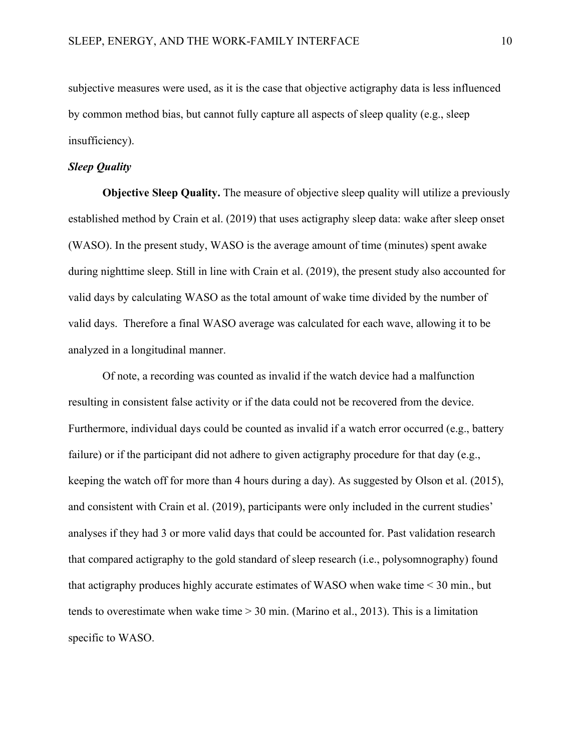subjective measures were used, as it is the case that objective actigraphy data is less influenced by common method bias, but cannot fully capture all aspects of sleep quality (e.g., sleep insufficiency).

#### *Sleep Quality*

**Objective Sleep Quality.** The measure of objective sleep quality will utilize a previously established method by Crain et al. (2019) that uses actigraphy sleep data: wake after sleep onset (WASO). In the present study, WASO is the average amount of time (minutes) spent awake during nighttime sleep. Still in line with Crain et al. (2019), the present study also accounted for valid days by calculating WASO as the total amount of wake time divided by the number of valid days. Therefore a final WASO average was calculated for each wave, allowing it to be analyzed in a longitudinal manner.

Of note, a recording was counted as invalid if the watch device had a malfunction resulting in consistent false activity or if the data could not be recovered from the device. Furthermore, individual days could be counted as invalid if a watch error occurred (e.g., battery failure) or if the participant did not adhere to given actigraphy procedure for that day (e.g., keeping the watch off for more than 4 hours during a day). As suggested by Olson et al. (2015), and consistent with Crain et al. (2019), participants were only included in the current studies' analyses if they had 3 or more valid days that could be accounted for. Past validation research that compared actigraphy to the gold standard of sleep research (i.e., polysomnography) found that actigraphy produces highly accurate estimates of WASO when wake time < 30 min., but tends to overestimate when wake time  $> 30$  min. (Marino et al., 2013). This is a limitation specific to WASO.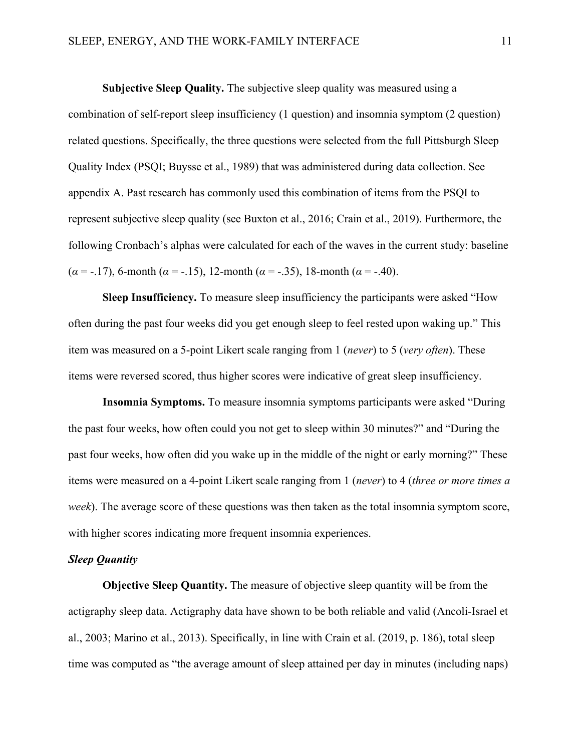**Subjective Sleep Quality.** The subjective sleep quality was measured using a combination of self-report sleep insufficiency (1 question) and insomnia symptom (2 question) related questions. Specifically, the three questions were selected from the full Pittsburgh Sleep Quality Index (PSQI; Buysse et al., 1989) that was administered during data collection. See appendix A. Past research has commonly used this combination of items from the PSQI to represent subjective sleep quality (see Buxton et al., 2016; Crain et al., 2019). Furthermore, the following Cronbach's alphas were calculated for each of the waves in the current study: baseline (*α* = -.17), 6-month (*α* = -.15), 12-month (*α* = -.35), 18-month (*α* = -.40).

**Sleep Insufficiency.** To measure sleep insufficiency the participants were asked "How often during the past four weeks did you get enough sleep to feel rested upon waking up." This item was measured on a 5-point Likert scale ranging from 1 (*never*) to 5 (*very often*). These items were reversed scored, thus higher scores were indicative of great sleep insufficiency.

**Insomnia Symptoms.** To measure insomnia symptoms participants were asked "During the past four weeks, how often could you not get to sleep within 30 minutes?" and "During the past four weeks, how often did you wake up in the middle of the night or early morning?" These items were measured on a 4-point Likert scale ranging from 1 (*never*) to 4 (*three or more times a week*). The average score of these questions was then taken as the total insomnia symptom score, with higher scores indicating more frequent insomnia experiences.

#### *Sleep Quantity*

**Objective Sleep Quantity.** The measure of objective sleep quantity will be from the actigraphy sleep data. Actigraphy data have shown to be both reliable and valid (Ancoli-Israel et al., 2003; Marino et al., 2013). Specifically, in line with Crain et al. (2019, p. 186), total sleep time was computed as "the average amount of sleep attained per day in minutes (including naps)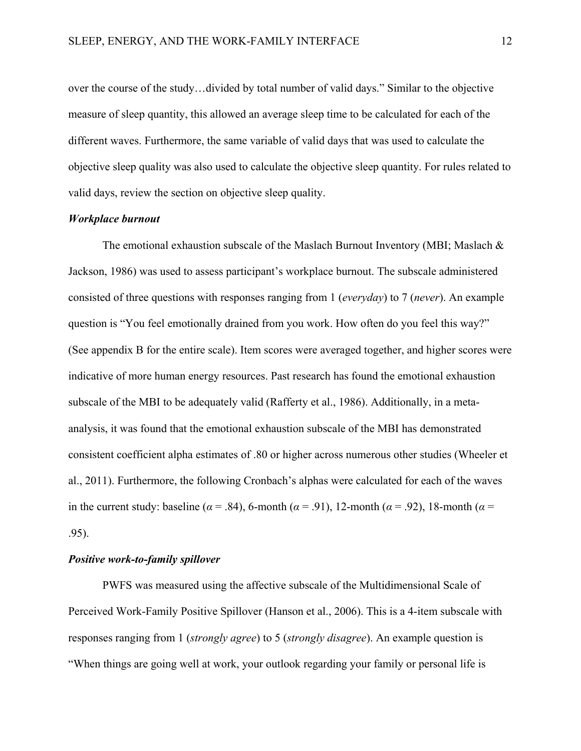over the course of the study…divided by total number of valid days." Similar to the objective measure of sleep quantity, this allowed an average sleep time to be calculated for each of the different waves. Furthermore, the same variable of valid days that was used to calculate the objective sleep quality was also used to calculate the objective sleep quantity. For rules related to valid days, review the section on objective sleep quality.

#### *Workplace burnout*

The emotional exhaustion subscale of the Maslach Burnout Inventory (MBI; Maslach & Jackson, 1986) was used to assess participant's workplace burnout. The subscale administered consisted of three questions with responses ranging from 1 (*everyday*) to 7 (*never*). An example question is "You feel emotionally drained from you work. How often do you feel this way?" (See appendix B for the entire scale). Item scores were averaged together, and higher scores were indicative of more human energy resources. Past research has found the emotional exhaustion subscale of the MBI to be adequately valid (Rafferty et al., 1986). Additionally, in a metaanalysis, it was found that the emotional exhaustion subscale of the MBI has demonstrated consistent coefficient alpha estimates of .80 or higher across numerous other studies (Wheeler et al., 2011). Furthermore, the following Cronbach's alphas were calculated for each of the waves in the current study: baseline ( $\alpha$  = .84), 6-month ( $\alpha$  = .91), 12-month ( $\alpha$  = .92), 18-month ( $\alpha$  = .95).

#### *Positive work-to-family spillover*

PWFS was measured using the affective subscale of the Multidimensional Scale of Perceived Work-Family Positive Spillover (Hanson et al., 2006). This is a 4-item subscale with responses ranging from 1 (*strongly agree*) to 5 (*strongly disagree*). An example question is "When things are going well at work, your outlook regarding your family or personal life is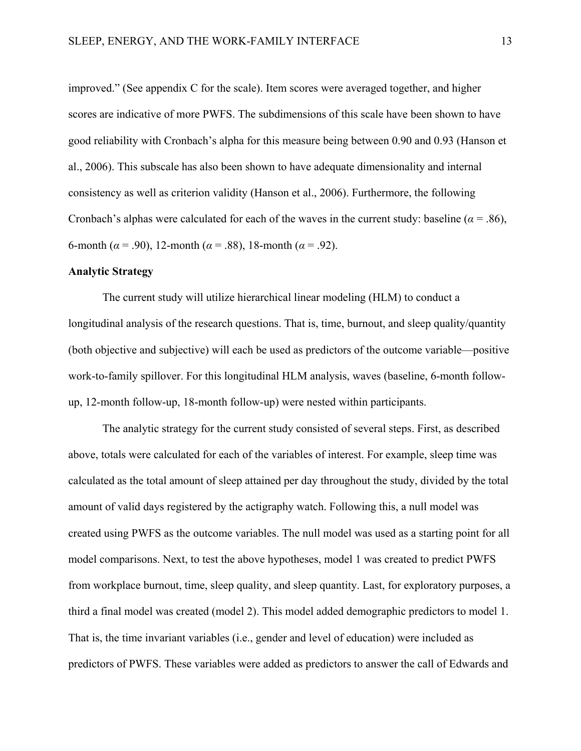improved." (See appendix C for the scale). Item scores were averaged together, and higher scores are indicative of more PWFS. The subdimensions of this scale have been shown to have good reliability with Cronbach's alpha for this measure being between 0.90 and 0.93 (Hanson et al., 2006). This subscale has also been shown to have adequate dimensionality and internal consistency as well as criterion validity (Hanson et al., 2006). Furthermore, the following Cronbach's alphas were calculated for each of the waves in the current study: baseline ( $\alpha$  = .86), 6-month ( $\alpha$  = .90), 12-month ( $\alpha$  = .88), 18-month ( $\alpha$  = .92).

#### **Analytic Strategy**

The current study will utilize hierarchical linear modeling (HLM) to conduct a longitudinal analysis of the research questions. That is, time, burnout, and sleep quality/quantity (both objective and subjective) will each be used as predictors of the outcome variable—positive work-to-family spillover. For this longitudinal HLM analysis, waves (baseline, 6-month followup, 12-month follow-up, 18-month follow-up) were nested within participants.

The analytic strategy for the current study consisted of several steps. First, as described above, totals were calculated for each of the variables of interest. For example, sleep time was calculated as the total amount of sleep attained per day throughout the study, divided by the total amount of valid days registered by the actigraphy watch. Following this, a null model was created using PWFS as the outcome variables. The null model was used as a starting point for all model comparisons. Next, to test the above hypotheses, model 1 was created to predict PWFS from workplace burnout, time, sleep quality, and sleep quantity. Last, for exploratory purposes, a third a final model was created (model 2). This model added demographic predictors to model 1. That is, the time invariant variables (i.e., gender and level of education) were included as predictors of PWFS. These variables were added as predictors to answer the call of Edwards and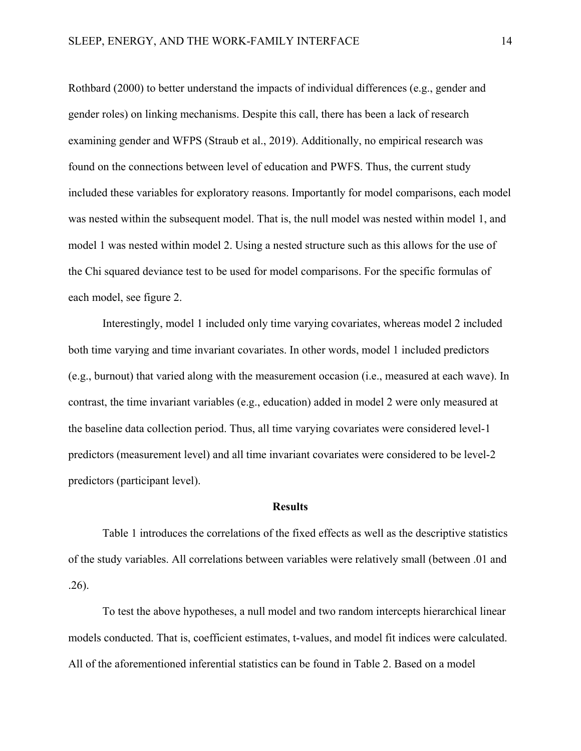Rothbard (2000) to better understand the impacts of individual differences (e.g., gender and gender roles) on linking mechanisms. Despite this call, there has been a lack of research examining gender and WFPS (Straub et al., 2019). Additionally, no empirical research was found on the connections between level of education and PWFS. Thus, the current study included these variables for exploratory reasons. Importantly for model comparisons, each model was nested within the subsequent model. That is, the null model was nested within model 1, and model 1 was nested within model 2. Using a nested structure such as this allows for the use of the Chi squared deviance test to be used for model comparisons. For the specific formulas of each model, see figure 2.

 Interestingly, model 1 included only time varying covariates, whereas model 2 included both time varying and time invariant covariates. In other words, model 1 included predictors (e.g., burnout) that varied along with the measurement occasion (i.e., measured at each wave). In contrast, the time invariant variables (e.g., education) added in model 2 were only measured at the baseline data collection period. Thus, all time varying covariates were considered level-1 predictors (measurement level) and all time invariant covariates were considered to be level-2 predictors (participant level).

#### **Results**

 Table 1 introduces the correlations of the fixed effects as well as the descriptive statistics of the study variables. All correlations between variables were relatively small (between .01 and .26).

 To test the above hypotheses, a null model and two random intercepts hierarchical linear models conducted. That is, coefficient estimates, t-values, and model fit indices were calculated. All of the aforementioned inferential statistics can be found in Table 2. Based on a model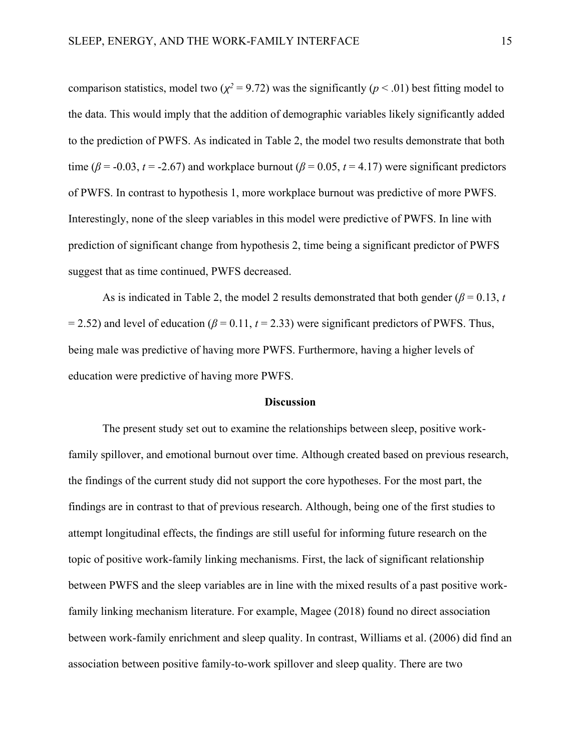comparison statistics, model two ( $\chi^2$  = 9.72) was the significantly ( $p$  < .01) best fitting model to the data. This would imply that the addition of demographic variables likely significantly added to the prediction of PWFS. As indicated in Table 2, the model two results demonstrate that both time ( $\beta$  = -0.03, *t* = -2.67) and workplace burnout ( $\beta$  = 0.05, *t* = 4.17) were significant predictors of PWFS. In contrast to hypothesis 1, more workplace burnout was predictive of more PWFS. Interestingly, none of the sleep variables in this model were predictive of PWFS. In line with prediction of significant change from hypothesis 2, time being a significant predictor of PWFS suggest that as time continued, PWFS decreased.

As is indicated in Table 2, the model 2 results demonstrated that both gender ( $\beta$  = 0.13, *t*  $= 2.52$ ) and level of education ( $\beta = 0.11$ ,  $t = 2.33$ ) were significant predictors of PWFS. Thus, being male was predictive of having more PWFS. Furthermore, having a higher levels of education were predictive of having more PWFS.

#### **Discussion**

The present study set out to examine the relationships between sleep, positive workfamily spillover, and emotional burnout over time. Although created based on previous research, the findings of the current study did not support the core hypotheses. For the most part, the findings are in contrast to that of previous research. Although, being one of the first studies to attempt longitudinal effects, the findings are still useful for informing future research on the topic of positive work-family linking mechanisms. First, the lack of significant relationship between PWFS and the sleep variables are in line with the mixed results of a past positive workfamily linking mechanism literature. For example, Magee (2018) found no direct association between work-family enrichment and sleep quality. In contrast, Williams et al. (2006) did find an association between positive family-to-work spillover and sleep quality. There are two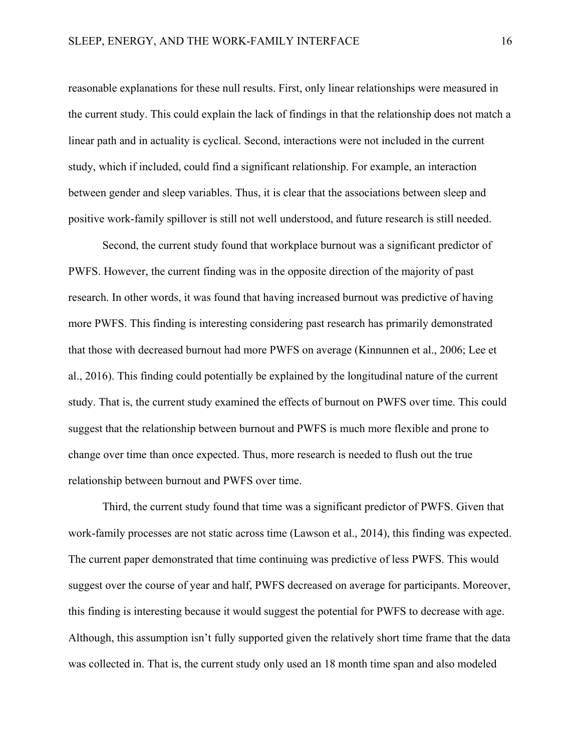reasonable explanations for these null results. First, only linear relationships were measured in the current study. This could explain the lack of findings in that the relationship does not match a linear path and in actuality is cyclical. Second, interactions were not included in the current study, which if included, could find a significant relationship. For example, an interaction between gender and sleep variables. Thus, it is clear that the associations between sleep and positive work-family spillover is still not well understood, and future research is still needed.

 Second, the current study found that workplace burnout was a significant predictor of PWFS. However, the current finding was in the opposite direction of the majority of past research. In other words, it was found that having increased burnout was predictive of having more PWFS. This finding is interesting considering past research has primarily demonstrated that those with decreased burnout had more PWFS on average (Kinnunnen et al., 2006; Lee et al., 2016). This finding could potentially be explained by the longitudinal nature of the current study. That is, the current study examined the effects of burnout on PWFS over time. This could suggest that the relationship between burnout and PWFS is much more flexible and prone to change over time than once expected. Thus, more research is needed to flush out the true relationship between burnout and PWFS over time.

Third, the current study found that time was a significant predictor of PWFS. Given that work-family processes are not static across time (Lawson et al., 2014), this finding was expected. The current paper demonstrated that time continuing was predictive of less PWFS. This would suggest over the course of year and half, PWFS decreased on average for participants. Moreover, this finding is interesting because it would suggest the potential for PWFS to decrease with age. Although, this assumption isn't fully supported given the relatively short time frame that the data was collected in. That is, the current study only used an 18 month time span and also modeled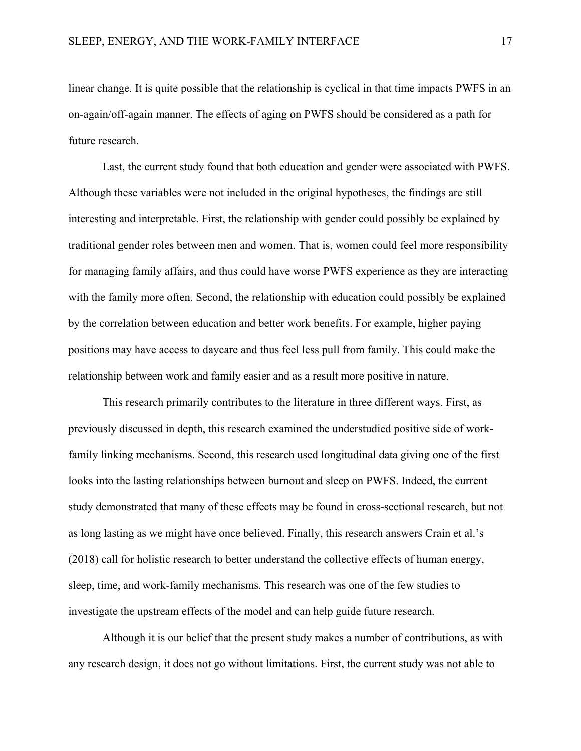linear change. It is quite possible that the relationship is cyclical in that time impacts PWFS in an on-again/off-again manner. The effects of aging on PWFS should be considered as a path for future research.

Last, the current study found that both education and gender were associated with PWFS. Although these variables were not included in the original hypotheses, the findings are still interesting and interpretable. First, the relationship with gender could possibly be explained by traditional gender roles between men and women. That is, women could feel more responsibility for managing family affairs, and thus could have worse PWFS experience as they are interacting with the family more often. Second, the relationship with education could possibly be explained by the correlation between education and better work benefits. For example, higher paying positions may have access to daycare and thus feel less pull from family. This could make the relationship between work and family easier and as a result more positive in nature.

This research primarily contributes to the literature in three different ways. First, as previously discussed in depth, this research examined the understudied positive side of workfamily linking mechanisms. Second, this research used longitudinal data giving one of the first looks into the lasting relationships between burnout and sleep on PWFS. Indeed, the current study demonstrated that many of these effects may be found in cross-sectional research, but not as long lasting as we might have once believed. Finally, this research answers Crain et al.'s (2018) call for holistic research to better understand the collective effects of human energy, sleep, time, and work-family mechanisms. This research was one of the few studies to investigate the upstream effects of the model and can help guide future research.

Although it is our belief that the present study makes a number of contributions, as with any research design, it does not go without limitations. First, the current study was not able to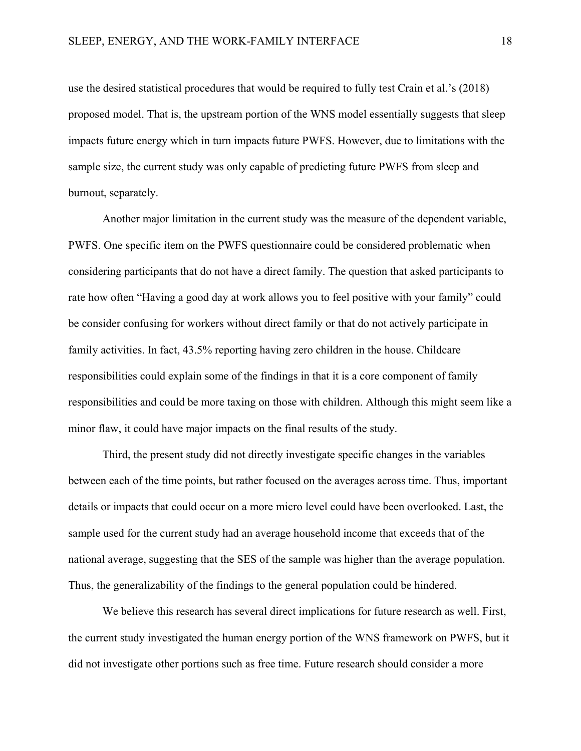use the desired statistical procedures that would be required to fully test Crain et al.'s (2018) proposed model. That is, the upstream portion of the WNS model essentially suggests that sleep impacts future energy which in turn impacts future PWFS. However, due to limitations with the sample size, the current study was only capable of predicting future PWFS from sleep and burnout, separately.

Another major limitation in the current study was the measure of the dependent variable, PWFS. One specific item on the PWFS questionnaire could be considered problematic when considering participants that do not have a direct family. The question that asked participants to rate how often "Having a good day at work allows you to feel positive with your family" could be consider confusing for workers without direct family or that do not actively participate in family activities. In fact, 43.5% reporting having zero children in the house. Childcare responsibilities could explain some of the findings in that it is a core component of family responsibilities and could be more taxing on those with children. Although this might seem like a minor flaw, it could have major impacts on the final results of the study.

Third, the present study did not directly investigate specific changes in the variables between each of the time points, but rather focused on the averages across time. Thus, important details or impacts that could occur on a more micro level could have been overlooked. Last, the sample used for the current study had an average household income that exceeds that of the national average, suggesting that the SES of the sample was higher than the average population. Thus, the generalizability of the findings to the general population could be hindered.

We believe this research has several direct implications for future research as well. First, the current study investigated the human energy portion of the WNS framework on PWFS, but it did not investigate other portions such as free time. Future research should consider a more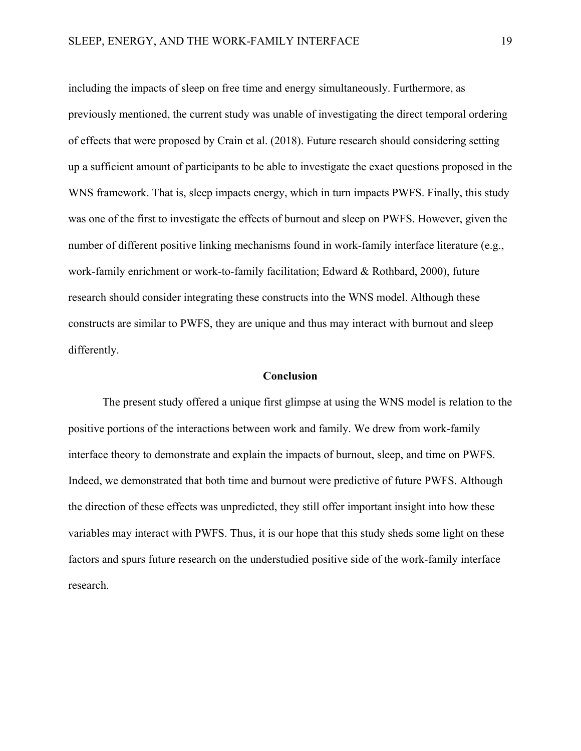including the impacts of sleep on free time and energy simultaneously. Furthermore, as previously mentioned, the current study was unable of investigating the direct temporal ordering of effects that were proposed by Crain et al. (2018). Future research should considering setting up a sufficient amount of participants to be able to investigate the exact questions proposed in the WNS framework. That is, sleep impacts energy, which in turn impacts PWFS. Finally, this study was one of the first to investigate the effects of burnout and sleep on PWFS. However, given the number of different positive linking mechanisms found in work-family interface literature (e.g., work-family enrichment or work-to-family facilitation; Edward & Rothbard, 2000), future research should consider integrating these constructs into the WNS model. Although these constructs are similar to PWFS, they are unique and thus may interact with burnout and sleep differently.

#### **Conclusion**

 The present study offered a unique first glimpse at using the WNS model is relation to the positive portions of the interactions between work and family. We drew from work-family interface theory to demonstrate and explain the impacts of burnout, sleep, and time on PWFS. Indeed, we demonstrated that both time and burnout were predictive of future PWFS. Although the direction of these effects was unpredicted, they still offer important insight into how these variables may interact with PWFS. Thus, it is our hope that this study sheds some light on these factors and spurs future research on the understudied positive side of the work-family interface research.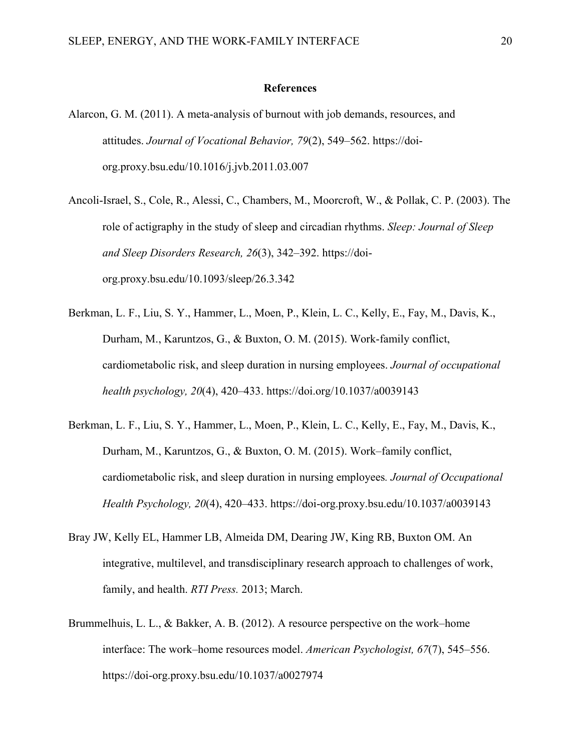#### **References**

- Alarcon, G. M. (2011). A meta-analysis of burnout with job demands, resources, and attitudes. *Journal of Vocational Behavior, 79*(2), 549–562. https://doiorg.proxy.bsu.edu/10.1016/j.jvb.2011.03.007
- Ancoli-Israel, S., Cole, R., Alessi, C., Chambers, M., Moorcroft, W., & Pollak, C. P. (2003). The role of actigraphy in the study of sleep and circadian rhythms. *Sleep: Journal of Sleep and Sleep Disorders Research, 26*(3), 342–392. [https://doi](https://doi-org.proxy.bsu.edu/10.1093/sleep/26.3.342)[org.proxy.bsu.edu/10.1093/sleep/26.3.342](https://doi-org.proxy.bsu.edu/10.1093/sleep/26.3.342)
- Berkman, L. F., Liu, S. Y., Hammer, L., Moen, P., Klein, L. C., Kelly, E., Fay, M., Davis, K., Durham, M., Karuntzos, G., & Buxton, O. M. (2015). Work-family conflict, cardiometabolic risk, and sleep duration in nursing employees. *Journal of occupational health psychology, 20*(4), 420–433.<https://doi.org/10.1037/a0039143>
- Berkman, L. F., Liu, S. Y., Hammer, L., Moen, P., Klein, L. C., Kelly, E., Fay, M., Davis, K., Durham, M., Karuntzos, G., & Buxton, O. M. (2015). Work–family conflict, cardiometabolic risk, and sleep duration in nursing employees*. Journal of Occupational Health Psychology, 20*(4), 420–433. https://doi-org.proxy.bsu.edu/10.1037/a0039143
- Bray JW, Kelly EL, Hammer LB, Almeida DM, Dearing JW, King RB, Buxton OM. [An](https://workfamilyhealthnetwork.org/publications/integrative-multilevel-and-transdisciplinary-research-approach-challenges-work)  [integrative, multilevel, and transdisciplinary research approach to challenges of work,](https://workfamilyhealthnetwork.org/publications/integrative-multilevel-and-transdisciplinary-research-approach-challenges-work)  [family, and health.](https://workfamilyhealthnetwork.org/publications/integrative-multilevel-and-transdisciplinary-research-approach-challenges-work) *RTI Press.* 2013; March.
- Brummelhuis, L. L., & Bakker, A. B. (2012). A resource perspective on the work–home interface: The work–home resources model. *American Psychologist, 67*(7), 545–556. <https://doi-org.proxy.bsu.edu/10.1037/a0027974>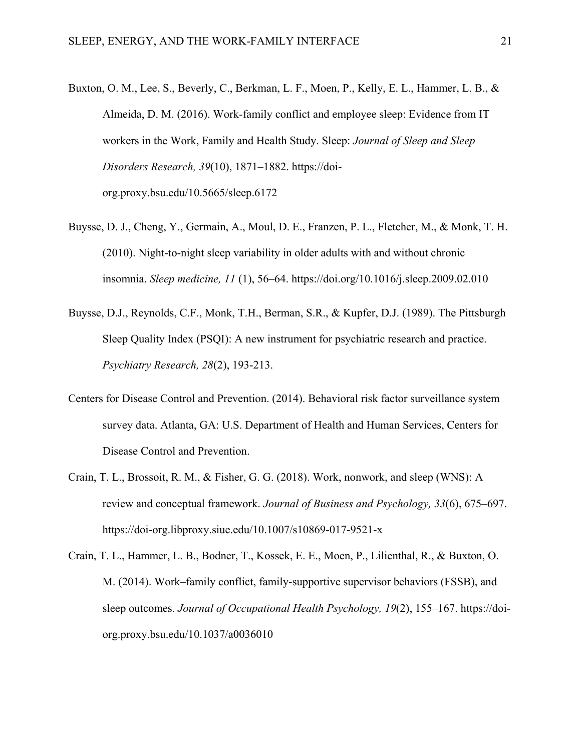- Buxton, O. M., Lee, S., Beverly, C., Berkman, L. F., Moen, P., Kelly, E. L., Hammer, L. B., & Almeida, D. M. (2016). Work-family conflict and employee sleep: Evidence from IT workers in the Work, Family and Health Study. Sleep: *Journal of Sleep and Sleep Disorders Research, 39*(10), 1871–1882. [https://doi](https://doi-org.proxy.bsu.edu/10.5665/sleep.6172)[org.proxy.bsu.edu/10.5665/sleep.6172](https://doi-org.proxy.bsu.edu/10.5665/sleep.6172)
- Buysse, D. J., Cheng, Y., Germain, A., Moul, D. E., Franzen, P. L., Fletcher, M., & Monk, T. H. (2010). Night-to-night sleep variability in older adults with and without chronic insomnia. *Sleep medicine, 11* (1), 56–64. https://doi.org/10.1016/j.sleep.2009.02.010
- Buysse, D.J., Reynolds, C.F., Monk, T.H., Berman, S.R., & Kupfer, D.J. (1989). The Pittsburgh Sleep Quality Index (PSQI): A new instrument for psychiatric research and practice. *Psychiatry Research, 28*(2), 193-213.
- Centers for Disease Control and Prevention. (2014). Behavioral risk factor surveillance system survey data. Atlanta, GA: U.S. Department of Health and Human Services, Centers for Disease Control and Prevention.
- Crain, T. L., Brossoit, R. M., & Fisher, G. G. (2018). Work, nonwork, and sleep (WNS): A review and conceptual framework. *Journal of Business and Psychology, 33*(6), 675–697. <https://doi-org.libproxy.siue.edu/10.1007/s10869-017-9521-x>
- Crain, T. L., Hammer, L. B., Bodner, T., Kossek, E. E., Moen, P., Lilienthal, R., & Buxton, O. M. (2014). Work–family conflict, family-supportive supervisor behaviors (FSSB), and sleep outcomes. *Journal of Occupational Health Psychology, 19*(2), 155–167. https://doiorg.proxy.bsu.edu/10.1037/a0036010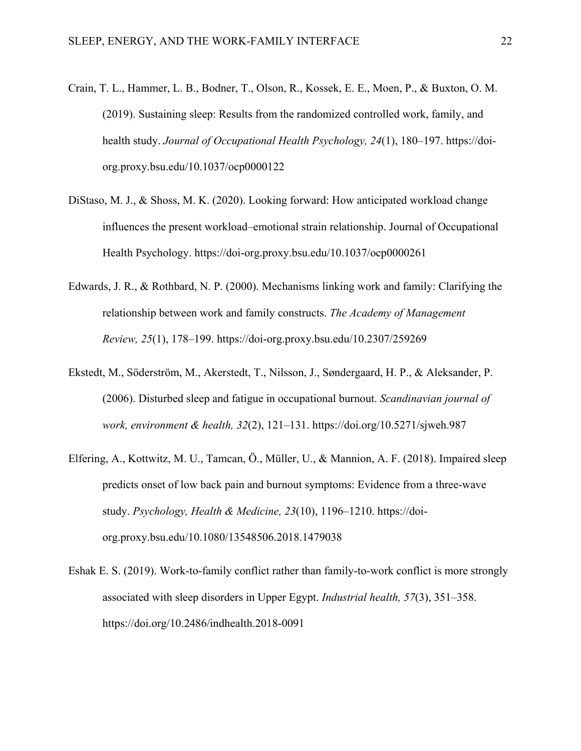- Crain, T. L., Hammer, L. B., Bodner, T., Olson, R., Kossek, E. E., Moen, P., & Buxton, O. M. (2019). Sustaining sleep: Results from the randomized controlled work, family, and health study. *Journal of Occupational Health Psychology, 24*(1), 180–197. [https://doi](https://doi-org.proxy.bsu.edu/10.1037/ocp0000122)[org.proxy.bsu.edu/10.1037/ocp0000122](https://doi-org.proxy.bsu.edu/10.1037/ocp0000122)
- DiStaso, M. J., & Shoss, M. K. (2020). Looking forward: How anticipated workload change influences the present workload–emotional strain relationship. Journal of Occupational Health Psychology. https://doi-org.proxy.bsu.edu/10.1037/ocp0000261
- Edwards, J. R., & Rothbard, N. P. (2000). Mechanisms linking work and family: Clarifying the relationship between work and family constructs. *The Academy of Management Review, 25*(1), 178–199.<https://doi-org.proxy.bsu.edu/10.2307/259269>
- Ekstedt, M., Söderström, M., Akerstedt, T., Nilsson, J., Søndergaard, H. P., & Aleksander, P. (2006). Disturbed sleep and fatigue in occupational burnout. *Scandinavian journal of work, environment & health, 32*(2), 121–131. https://doi.org/10.5271/sjweh.987
- Elfering, A., Kottwitz, M. U., Tamcan, Ö., Müller, U., & Mannion, A. F. (2018). Impaired sleep predicts onset of low back pain and burnout symptoms: Evidence from a three-wave study. *Psychology, Health & Medicine, 23*(10), 1196–1210. https://doiorg.proxy.bsu.edu/10.1080/13548506.2018.1479038
- Eshak E. S. (2019). Work-to-family conflict rather than family-to-work conflict is more strongly associated with sleep disorders in Upper Egypt. *Industrial health, 57*(3), 351–358. https://doi.org/10.2486/indhealth.2018-0091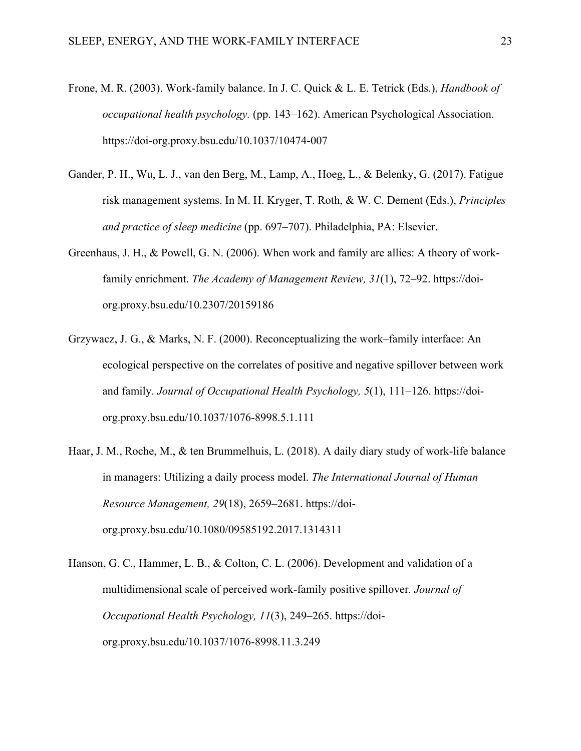- Frone, M. R. (2003). Work-family balance. In J. C. Quick & L. E. Tetrick (Eds.), *Handbook of occupational health psychology.* (pp. 143–162). American Psychological Association. <https://doi-org.proxy.bsu.edu/10.1037/10474-007>
- Gander, P. H., Wu, L. J., van den Berg, M., Lamp, A., Hoeg, L., & Belenky, G. (2017). Fatigue risk management systems. In M. H. Kryger, T. Roth, & W. C. Dement (Eds.), *Principles and practice of sleep medicine* (pp. 697–707). Philadelphia, PA: Elsevier.
- Greenhaus, J. H., & Powell, G. N. (2006). When work and family are allies: A theory of workfamily enrichment. *The Academy of Management Review, 31*(1), 72–92. [https://doi](https://doi-org.proxy.bsu.edu/10.2307/20159186)[org.proxy.bsu.edu/10.2307/20159186](https://doi-org.proxy.bsu.edu/10.2307/20159186)
- Grzywacz, J. G., & Marks, N. F. (2000). Reconceptualizing the work–family interface: An ecological perspective on the correlates of positive and negative spillover between work and family. *Journal of Occupational Health Psychology, 5*(1), 111–126. [https://doi](https://doi-org.proxy.bsu.edu/10.1037/1076-8998.5.1.111)[org.proxy.bsu.edu/10.1037/1076-8998.5.1.111](https://doi-org.proxy.bsu.edu/10.1037/1076-8998.5.1.111)
- Haar, J. M., Roche, M., & ten Brummelhuis, L. (2018). A daily diary study of work-life balance in managers: Utilizing a daily process model. *The International Journal of Human Resource Management, 29*(18), 2659–2681. [https://doi](https://doi-org.proxy.bsu.edu/10.1080/09585192.2017.1314311)[org.proxy.bsu.edu/10.1080/09585192.2017.1314311](https://doi-org.proxy.bsu.edu/10.1080/09585192.2017.1314311)
- Hanson, G. C., Hammer, L. B., & Colton, C. L. (2006). Development and validation of a multidimensional scale of perceived work-family positive spillover*. Journal of Occupational Health Psychology, 11*(3), 249–265. https://doiorg.proxy.bsu.edu/10.1037/1076-8998.11.3.249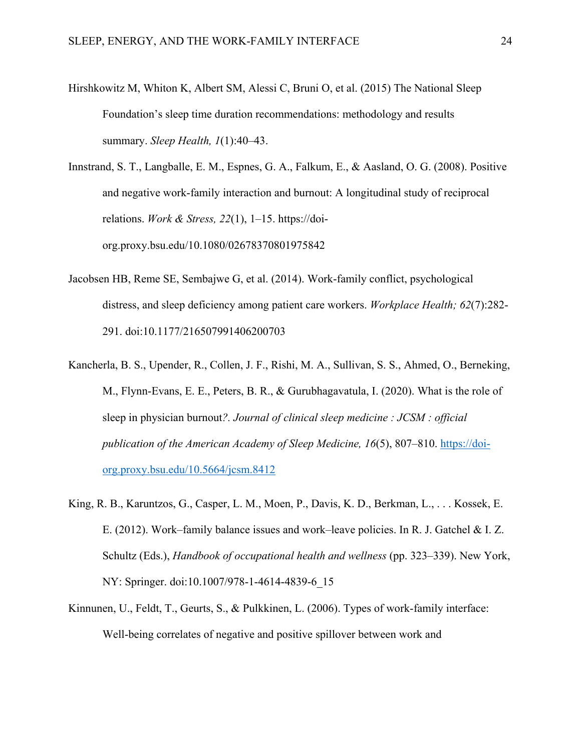Hirshkowitz M, Whiton K, Albert SM, Alessi C, Bruni O, et al. (2015) The National Sleep Foundation's sleep time duration recommendations: methodology and results summary. *Sleep Health, 1*(1):40–43.

Innstrand, S. T., Langballe, E. M., Espnes, G. A., Falkum, E., & Aasland, O. G. (2008). Positive and negative work-family interaction and burnout: A longitudinal study of reciprocal relations. *Work & Stress, 22*(1), 1–15. [https://doi](https://doi-org.proxy.bsu.edu/10.1080/02678370801975842)[org.proxy.bsu.edu/10.1080/02678370801975842](https://doi-org.proxy.bsu.edu/10.1080/02678370801975842)

- Jacobsen HB, Reme SE, Sembajwe G, et al. (2014). Work-family conflict, psychological distress, and sleep deficiency among patient care workers. *Workplace Health; 62*(7):282- 291. doi:10.1177/216507991406200703
- Kancherla, B. S., Upender, R., Collen, J. F., Rishi, M. A., Sullivan, S. S., Ahmed, O., Berneking, M., Flynn-Evans, E. E., Peters, B. R., & Gurubhagavatula, I. (2020). What is the role of sleep in physician burnout*?. Journal of clinical sleep medicine : JCSM : official publication of the American Academy of Sleep Medicine, 16*(5), 807–810. [https://doi](https://doi-org.proxy.bsu.edu/10.5664/jcsm.8412)[org.proxy.bsu.edu/10.5664/jcsm.8412](https://doi-org.proxy.bsu.edu/10.5664/jcsm.8412)
- King, R. B., Karuntzos, G., Casper, L. M., Moen, P., Davis, K. D., Berkman, L., . . . Kossek, E. E. (2012). Work–family balance issues and work–leave policies. In R. J. Gatchel & I. Z. Schultz (Eds.), *Handbook of occupational health and wellness* (pp. 323–339). New York, NY: Springer. doi:10.1007/978-1-4614-4839-6\_15
- Kinnunen, U., Feldt, T., Geurts, S., & Pulkkinen, L. (2006). Types of work-family interface: Well-being correlates of negative and positive spillover between work and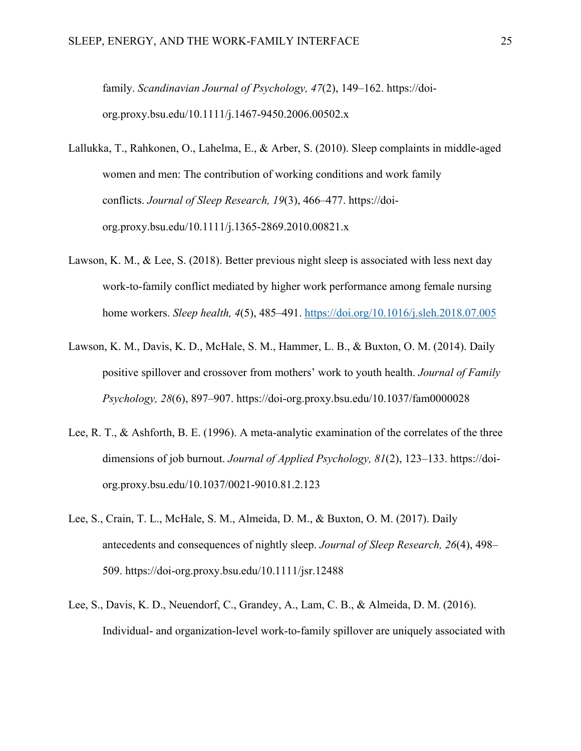family. *Scandinavian Journal of Psychology, 47*(2), 149–162. [https://doi](https://doi-org.proxy.bsu.edu/10.1111/j.1467-9450.2006.00502.x)[org.proxy.bsu.edu/10.1111/j.1467-9450.2006.00502.x](https://doi-org.proxy.bsu.edu/10.1111/j.1467-9450.2006.00502.x)

- Lallukka, T., Rahkonen, O., Lahelma, E., & Arber, S. (2010). Sleep complaints in middle-aged women and men: The contribution of working conditions and work family conflicts. *Journal of Sleep Research, 19*(3), 466–477. [https://doi](https://doi-org.proxy.bsu.edu/10.1111/j.1365-2869.2010.00821.x)[org.proxy.bsu.edu/10.1111/j.1365-2869.2010.00821.x](https://doi-org.proxy.bsu.edu/10.1111/j.1365-2869.2010.00821.x)
- Lawson, K. M., & Lee, S. (2018). Better previous night sleep is associated with less next day work-to-family conflict mediated by higher work performance among female nursing home workers. *Sleep health, 4*(5), 485–491.<https://doi.org/10.1016/j.sleh.2018.07.005>
- Lawson, K. M., Davis, K. D., McHale, S. M., Hammer, L. B., & Buxton, O. M. (2014). Daily positive spillover and crossover from mothers' work to youth health. *Journal of Family Psychology, 28*(6), 897–907. https://doi-org.proxy.bsu.edu/10.1037/fam0000028
- Lee, R. T., & Ashforth, B. E. (1996). A meta-analytic examination of the correlates of the three dimensions of job burnout. *Journal of Applied Psychology, 81*(2), 123–133. https://doiorg.proxy.bsu.edu/10.1037/0021-9010.81.2.123
- Lee, S., Crain, T. L., McHale, S. M., Almeida, D. M., & Buxton, O. M. (2017). Daily antecedents and consequences of nightly sleep. *Journal of Sleep Research, 26*(4), 498– 509.<https://doi-org.proxy.bsu.edu/10.1111/jsr.12488>
- Lee, S., Davis, K. D., Neuendorf, C., Grandey, A., Lam, C. B., & Almeida, D. M. (2016). Individual- and organization-level work-to-family spillover are uniquely associated with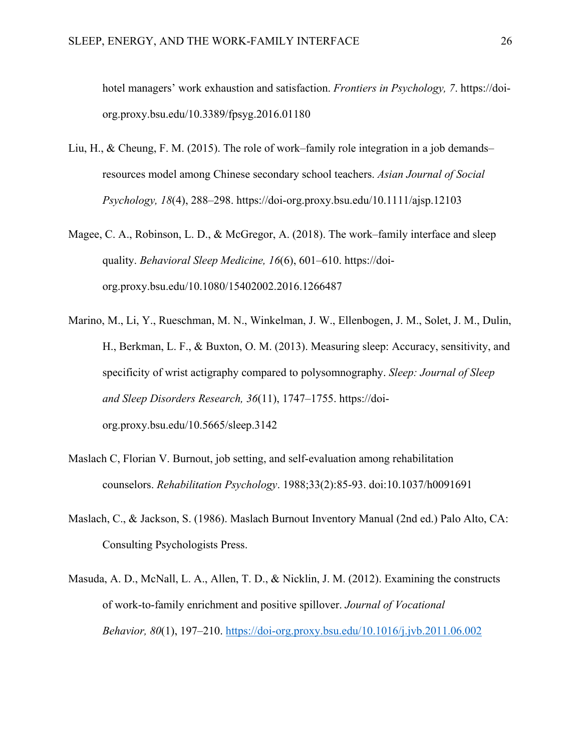hotel managers' work exhaustion and satisfaction. *Frontiers in Psychology, 7*. [https://doi](https://doi-org.proxy.bsu.edu/10.3389/fpsyg.2016.01180)[org.proxy.bsu.edu/10.3389/fpsyg.2016.01180](https://doi-org.proxy.bsu.edu/10.3389/fpsyg.2016.01180)

- Liu, H., & Cheung, F. M. (2015). The role of work–family role integration in a job demands– resources model among Chinese secondary school teachers. *Asian Journal of Social Psychology, 18*(4), 288–298.<https://doi-org.proxy.bsu.edu/10.1111/ajsp.12103>
- Magee, C. A., Robinson, L. D., & McGregor, A. (2018). The work–family interface and sleep quality. *Behavioral Sleep Medicine, 16*(6), 601–610. [https://doi](https://doi-org.proxy.bsu.edu/10.1080/15402002.2016.1266487)[org.proxy.bsu.edu/10.1080/15402002.2016.1266487](https://doi-org.proxy.bsu.edu/10.1080/15402002.2016.1266487)
- Marino, M., Li, Y., Rueschman, M. N., Winkelman, J. W., Ellenbogen, J. M., Solet, J. M., Dulin, H., Berkman, L. F., & Buxton, O. M. (2013). Measuring sleep: Accuracy, sensitivity, and specificity of wrist actigraphy compared to polysomnography. *Sleep: Journal of Sleep and Sleep Disorders Research, 36*(11), 1747–1755. https://doiorg.proxy.bsu.edu/10.5665/sleep.3142
- Maslach C, Florian V. Burnout, job setting, and self-evaluation among rehabilitation counselors. *Rehabilitation Psychology*. 1988;33(2):85-93. doi:10.1037/h0091691
- Maslach, C., & Jackson, S. (1986). Maslach Burnout Inventory Manual (2nd ed.) Palo Alto, CA: Consulting Psychologists Press.
- Masuda, A. D., McNall, L. A., Allen, T. D., & Nicklin, J. M. (2012). Examining the constructs of work-to-family enrichment and positive spillover. *Journal of Vocational Behavior, 80*(1), 197–210.<https://doi-org.proxy.bsu.edu/10.1016/j.jvb.2011.06.002>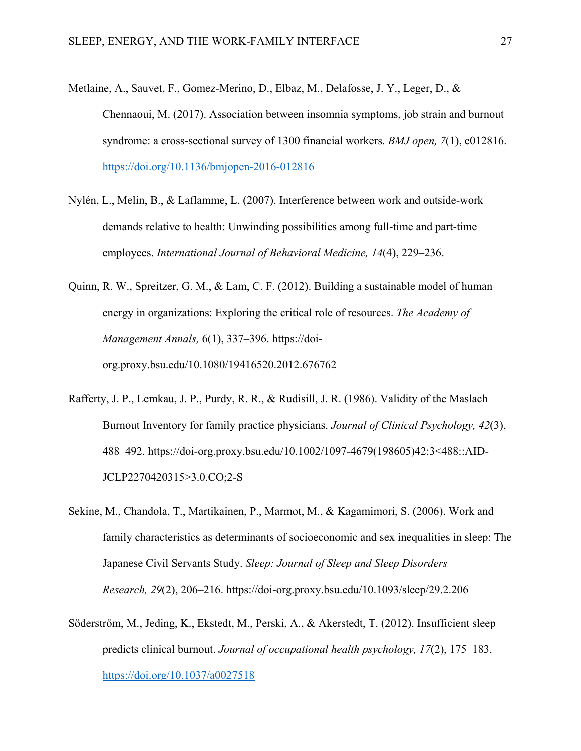- Metlaine, A., Sauvet, F., Gomez-Merino, D., Elbaz, M., Delafosse, J. Y., Leger, D., & Chennaoui, M. (2017). Association between insomnia symptoms, job strain and burnout syndrome: a cross-sectional survey of 1300 financial workers. *BMJ open, 7*(1), e012816. <https://doi.org/10.1136/bmjopen-2016-012816>
- Nylén, L., Melin, B., & Laflamme, L. (2007). Interference between work and outside-work demands relative to health: Unwinding possibilities among full-time and part-time employees. *International Journal of Behavioral Medicine, 14*(4), 229–236.
- Quinn, R. W., Spreitzer, G. M., & Lam, C. F. (2012). Building a sustainable model of human energy in organizations: Exploring the critical role of resources. *The Academy of Management Annals,* 6(1), 337–396. [https://doi](https://doi-org.proxy.bsu.edu/10.1080/19416520.2012.676762)[org.proxy.bsu.edu/10.1080/19416520.2012.676762](https://doi-org.proxy.bsu.edu/10.1080/19416520.2012.676762)
- Rafferty, J. P., Lemkau, J. P., Purdy, R. R., & Rudisill, J. R. (1986). Validity of the Maslach Burnout Inventory for family practice physicians. *Journal of Clinical Psychology, 42*(3), 488–492. https://doi-org.proxy.bsu.edu/10.1002/1097-4679(198605)42:3<488::AID-JCLP2270420315>3.0.CO;2-S
- Sekine, M., Chandola, T., Martikainen, P., Marmot, M., & Kagamimori, S. (2006). Work and family characteristics as determinants of socioeconomic and sex inequalities in sleep: The Japanese Civil Servants Study. *Sleep: Journal of Sleep and Sleep Disorders Research, 29*(2), 206–216.<https://doi-org.proxy.bsu.edu/10.1093/sleep/29.2.206>
- Söderström, M., Jeding, K., Ekstedt, M., Perski, A., & Akerstedt, T. (2012). Insufficient sleep predicts clinical burnout. *Journal of occupational health psychology, 17*(2), 175–183. <https://doi.org/10.1037/a0027518>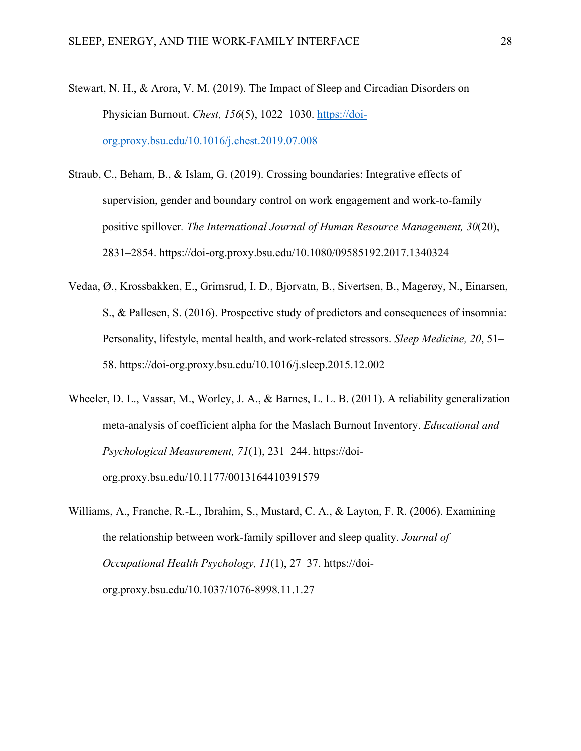- Stewart, N. H., & Arora, V. M. (2019). The Impact of Sleep and Circadian Disorders on Physician Burnout. *Chest, 156*(5), 1022–1030. [https://doi](https://doi-org.proxy.bsu.edu/10.1016/j.chest.2019.07.008)[org.proxy.bsu.edu/10.1016/j.chest.2019.07.008](https://doi-org.proxy.bsu.edu/10.1016/j.chest.2019.07.008)
- Straub, C., Beham, B., & Islam, G. (2019). Crossing boundaries: Integrative effects of supervision, gender and boundary control on work engagement and work-to-family positive spillover*. The International Journal of Human Resource Management, 30*(20), 2831–2854. https://doi-org.proxy.bsu.edu/10.1080/09585192.2017.1340324
- Vedaa, Ø., Krossbakken, E., Grimsrud, I. D., Bjorvatn, B., Sivertsen, B., Magerøy, N., Einarsen, S., & Pallesen, S. (2016). Prospective study of predictors and consequences of insomnia: Personality, lifestyle, mental health, and work-related stressors. *Sleep Medicine, 20*, 51– 58. <https://doi-org.proxy.bsu.edu/10.1016/j.sleep.2015.12.002>
- Wheeler, D. L., Vassar, M., Worley, J. A., & Barnes, L. L. B. (2011). A reliability generalization meta-analysis of coefficient alpha for the Maslach Burnout Inventory. *Educational and Psychological Measurement, 71*(1), 231–244. https://doiorg.proxy.bsu.edu/10.1177/0013164410391579
- Williams, A., Franche, R.-L., Ibrahim, S., Mustard, C. A., & Layton, F. R. (2006). Examining the relationship between work-family spillover and sleep quality. *Journal of Occupational Health Psychology, 11*(1), 27–37. [https://doi](https://doi-org.proxy.bsu.edu/10.1037/1076-8998.11.1.27)[org.proxy.bsu.edu/10.1037/1076-8998.11.1.27](https://doi-org.proxy.bsu.edu/10.1037/1076-8998.11.1.27)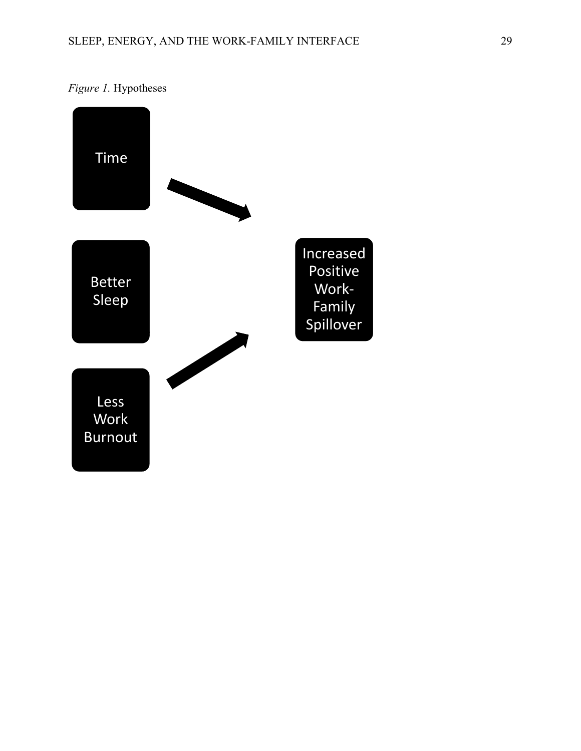

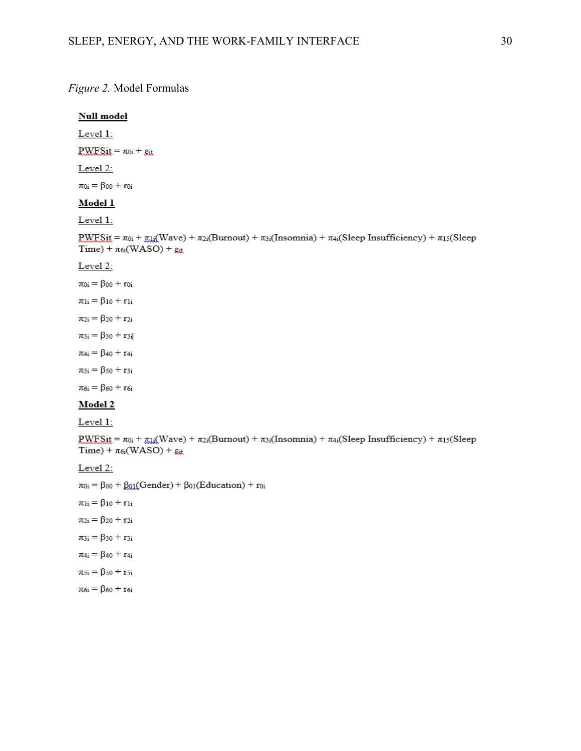#### *Figure 2.* Model Formulas

# **Null model** Level 1:  $PWESat = \pi o_i + g_{it}$ Level 2:  $\pi_{0i}=\beta_{00}+r_{0i}$ Model 1 Level 1:  $\text{PWFSit} = \pi_{0i} + \pi_{1i}(\text{Wave}) + \pi_{2i}(\text{Burnout}) + \pi_{3i}(\text{Insomnia}) + \pi_{4i}(\text{sleep Insufficiency}) + \pi_{15}(\text{sleep m}$  $Time) + \pi_{6i}(WASO) + g_{it}$ Level 2:  $\pi_{0i}=\beta_{00}+r_{0i}$  $\pi_{1i}=\beta_{10}+r_{1i}$  $\pi_{2i} = \beta_{20} + r_{2i}$  $\pi_{3i} = \beta_{30} + r_{3i}$  $\pi_{4i} = \beta_{40} + r_{4i}$  $\pi_{5i} = \beta_{50} + r_{5i}$  $\pi_{6i} = \beta_{60} + r_{6i}$ Model 2  $Level 1:$  $\frac{\text{PWFS}}{\text{Diff}} = \pi_{0i} + \frac{\pi_{1i}}{\text{Diff}}(\text{Wave}) + \pi_{2i}(\text{Burnout}) + \pi_{3i}(\text{Insomnia}) + \pi_{4i}(\text{Sleep Insufficiency}) + \pi_{13}(\text{Sleep}$  $Time) + \pi_{6i}(WASO) + g_{it}$ Level 2:  $\pi_{0i} = \beta_{00} + \beta_{01}(\text{Gender}) + \beta_{01}(\text{Education}) + r_{0i}$  $\pi_{1i} = \beta_{10} + r_{1i}$  $\pi_{2i} = \beta_{20} + r_{2i}$  $\pi_{3i} = \beta_{30} + r_{3i}$  $\pi_{4i} = \beta_{40} + r_{4i}$  $\pi_{5i} = \beta_{50} + r_{5i}$  $\pi_{6\mathrm{i}}=\beta_{60}+\mathrm{r}_{6\mathrm{i}}$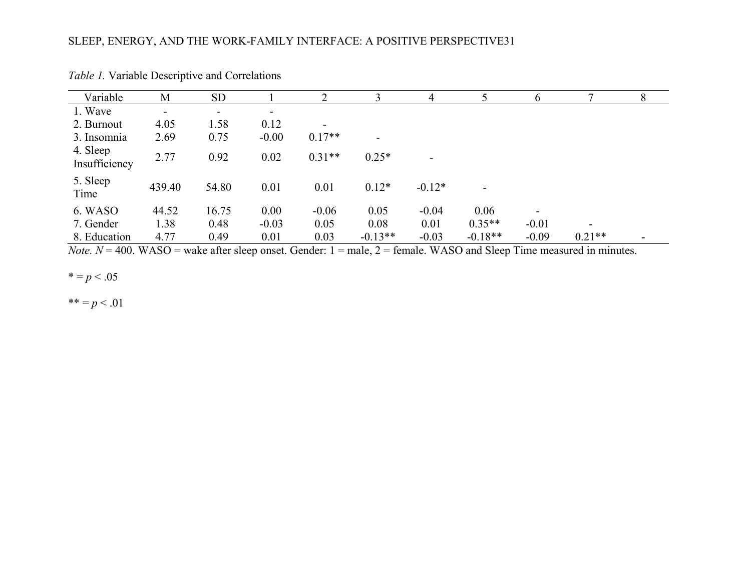| Variable                  | M      | <b>SD</b>                |                          |          | 3                        | 4                        |                          | 6                        |          | 8                        |
|---------------------------|--------|--------------------------|--------------------------|----------|--------------------------|--------------------------|--------------------------|--------------------------|----------|--------------------------|
| 1. Wave                   | Ξ.     | $\overline{\phantom{a}}$ | $\overline{\phantom{0}}$ |          |                          |                          |                          |                          |          |                          |
| 2. Burnout                | 4.05   | 1.58                     | 0.12                     |          |                          |                          |                          |                          |          |                          |
| 3. Insomnia               | 2.69   | 0.75                     | $-0.00$                  | $0.17**$ | $\overline{\phantom{a}}$ |                          |                          |                          |          |                          |
| 4. Sleep<br>Insufficiency | 2.77   | 0.92                     | 0.02                     | $0.31**$ | $0.25*$                  | $\overline{\phantom{0}}$ |                          |                          |          |                          |
| 5. Sleep<br>Time          | 439.40 | 54.80                    | 0.01                     | 0.01     | $0.12*$                  | $-0.12*$                 | $\overline{\phantom{a}}$ |                          |          |                          |
| 6. WASO                   | 44.52  | 16.75                    | 0.00                     | $-0.06$  | 0.05                     | $-0.04$                  | 0.06                     | $\overline{\phantom{a}}$ |          |                          |
| 7. Gender                 | 1.38   | 0.48                     | $-0.03$                  | 0.05     | 0.08                     | 0.01                     | $0.35**$                 | $-0.01$                  | ۰        |                          |
| 8. Education              | 4.77   | 0.49                     | 0.01                     | 0.03     | $-0.13**$                | $-0.03$                  | $-0.18**$                | $-0.09$                  | $0.21**$ | $\overline{\phantom{0}}$ |

*Table 1.* Variable Descriptive and Correlations

*Note.*  $N = 400$ . WASO = wake after sleep onset. Gender:  $1 =$  male,  $2 =$  female. WASO and Sleep Time measured in minutes.

 $* = p < .05$ 

\*\* =  $p < .01$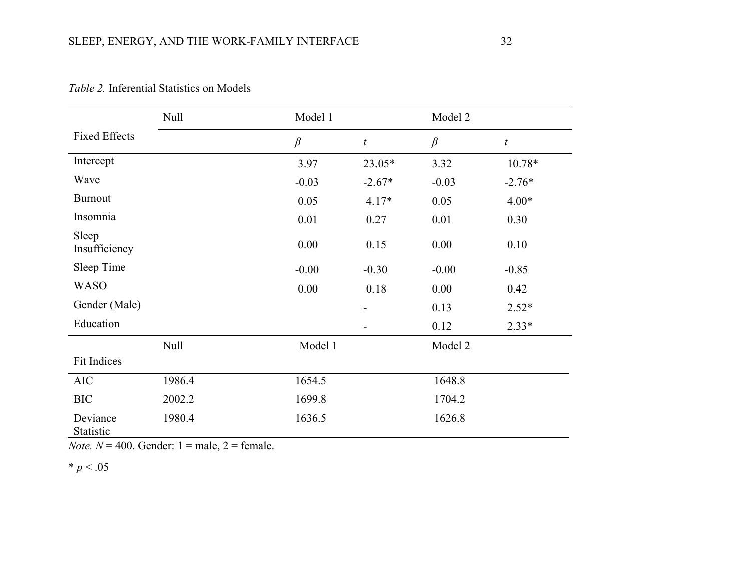|                        | Null   | Model 1 |                  | Model 2 |                  |  |
|------------------------|--------|---------|------------------|---------|------------------|--|
| <b>Fixed Effects</b>   |        | $\beta$ | $\boldsymbol{t}$ | $\beta$ | $\boldsymbol{t}$ |  |
| Intercept              |        | 3.97    | 23.05*           | 3.32    | 10.78*           |  |
| Wave                   |        | $-0.03$ | $-2.67*$         | $-0.03$ | $-2.76*$         |  |
| <b>Burnout</b>         |        | 0.05    | $4.17*$          | 0.05    | $4.00*$          |  |
| Insomnia               |        | 0.01    | 0.27             | 0.01    | 0.30             |  |
| Sleep<br>Insufficiency |        | 0.00    | 0.15             | 0.00    | 0.10             |  |
| Sleep Time             |        | $-0.00$ | $-0.30$          | $-0.00$ | $-0.85$          |  |
| <b>WASO</b>            |        | 0.00    | 0.18             | 0.00    | 0.42             |  |
| Gender (Male)          |        |         |                  | 0.13    | $2.52*$          |  |
| Education              |        |         |                  | 0.12    | $2.33*$          |  |
|                        | Null   | Model 1 |                  | Model 2 |                  |  |
| Fit Indices            |        |         |                  |         |                  |  |
| <b>AIC</b>             | 1986.4 | 1654.5  |                  | 1648.8  |                  |  |
| <b>BIC</b>             | 2002.2 | 1699.8  |                  | 1704.2  |                  |  |
| Deviance<br>Statistic  | 1980.4 | 1636.5  |                  | 1626.8  |                  |  |

*Table 2.* Inferential Statistics on Models

*Note.*  $N = 400$ . Gender:  $1 =$  male,  $2 =$  female.

 $* p < .05$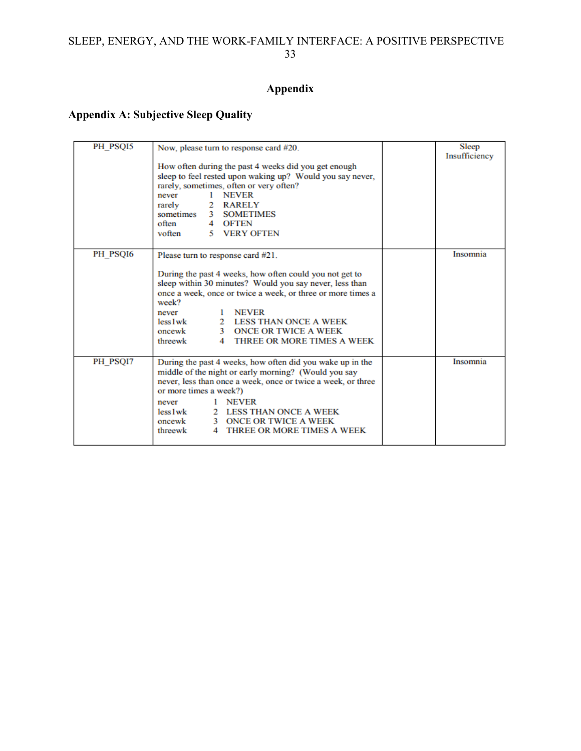# **Appendix**

## **Appendix A: Subjective Sleep Quality**

| PH_PSQI5 | Now, please turn to response card #20.                                                                                                                                                                                                                                                                                                                           | <b>Sleep</b>  |
|----------|------------------------------------------------------------------------------------------------------------------------------------------------------------------------------------------------------------------------------------------------------------------------------------------------------------------------------------------------------------------|---------------|
|          | How often during the past 4 weeks did you get enough<br>sleep to feel rested upon waking up? Would you say never,<br>rarely, sometimes, often or very often?<br>1 NEVER<br>never<br>rarely<br>2 RARELY<br>sometimes 3 SOMETIMES<br>often<br>4 OFTEN<br>5 VERY OFTEN<br>voften                                                                                    | Insufficiency |
| PH PSQI6 | Please turn to response card #21.                                                                                                                                                                                                                                                                                                                                | Insomnia      |
|          | During the past 4 weeks, how often could you not get to<br>sleep within 30 minutes? Would you say never, less than<br>once a week, once or twice a week, or three or more times a<br>week?<br><b>NEVER</b><br>never<br>$less 1$ wk<br>2 LESS THAN ONCE A WEEK<br>oncewk<br>3 ONCE OR TWICE A WEEK<br>threewk<br>THREE OR MORE TIMES A WEEK<br>$\overline{4}$     |               |
| PH PSOI7 | During the past 4 weeks, how often did you wake up in the<br>middle of the night or early morning? (Would you say<br>never, less than once a week, once or twice a week, or three<br>or more times a week?)<br><b>NEVER</b><br>never<br>$less 1$ wk<br>2 LESS THAN ONCE A WEEK<br>oncewk<br>3 ONCE OR TWICE A WEEK<br>threewk<br>THREE OR MORE TIMES A WEEK<br>4 | Insomnia      |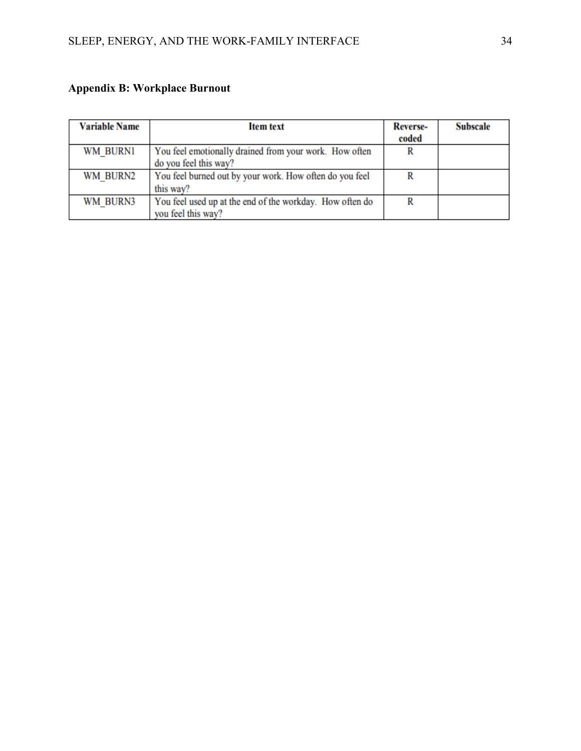# **Appendix B: Workplace Burnout**

| <b>Variable Name</b> | <b>Item text</b>                                         | <b>Reverse-</b><br>coded | <b>Subscale</b> |
|----------------------|----------------------------------------------------------|--------------------------|-----------------|
|                      |                                                          |                          |                 |
| WM BURNI             | You feel emotionally drained from your work. How often   | R                        |                 |
|                      | do you feel this way?                                    |                          |                 |
| WM BURN2             | You feel burned out by your work. How often do you feel  | R                        |                 |
|                      | this way?                                                |                          |                 |
| WM BURN3             | You feel used up at the end of the workday. How often do | R                        |                 |
|                      | you feel this way?                                       |                          |                 |